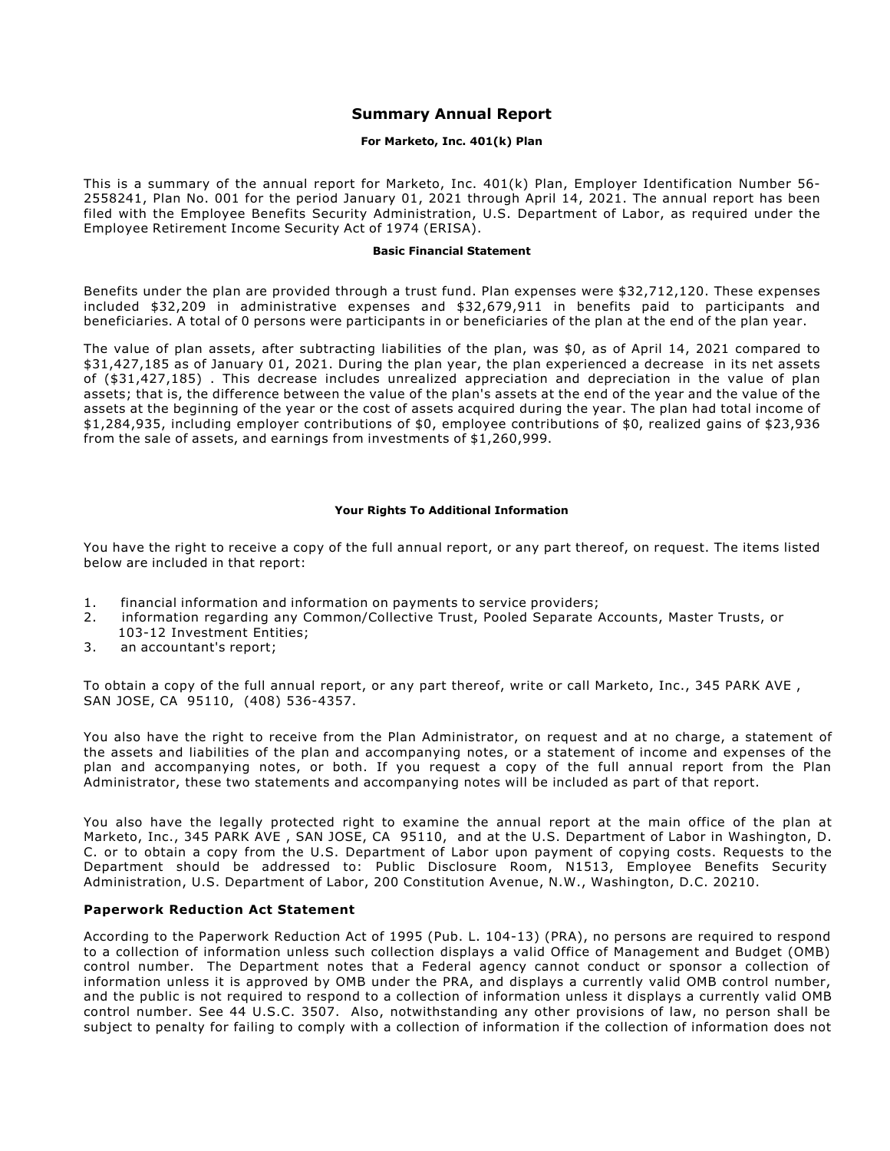# **Summary Annual Report**

## **For Marketo, Inc. 401(k) Plan**

This is a summary of the annual report for Marketo, Inc. 401(k) Plan, Employer Identification Number 56- 2558241, Plan No. 001 for the period January 01, 2021 through April 14, 2021. The annual report has been filed with the Employee Benefits Security Administration, U.S. Department of Labor, as required under the Employee Retirement Income Security Act of 1974 (ERISA).

#### **Basic Financial Statement**

Benefits under the plan are provided through a trust fund. Plan expenses were \$32,712,120. These expenses included \$32,209 in administrative expenses and \$32,679,911 in benefits paid to participants and beneficiaries. A total of 0 persons were participants in or beneficiaries of the plan at the end of the plan year.

The value of plan assets, after subtracting liabilities of the plan, was \$0, as of April 14, 2021 compared to \$31,427,185 as of January 01, 2021. During the plan year, the plan experienced a decrease in its net assets of (\$31,427,185) . This decrease includes unrealized appreciation and depreciation in the value of plan assets; that is, the difference between the value of the plan's assets at the end of the year and the value of the assets at the beginning of the year or the cost of assets acquired during the year. The plan had total income of \$1,284,935, including employer contributions of \$0, employee contributions of \$0, realized gains of \$23,936 from the sale of assets, and earnings from investments of \$1,260,999.

#### **Your Rights To Additional Information**

You have the right to receive a copy of the full annual report, or any part thereof, on request. The items listed below are included in that report:

- 1. financial information and information on payments to service providers;
- 2. information regarding any Common/Collective Trust, Pooled Separate Accounts, Master Trusts, or 103-12 Investment Entities;
- 3. an accountant's report;

To obtain a copy of the full annual report, or any part thereof, write or call Marketo, Inc., 345 PARK AVE , SAN JOSE, CA 95110, (408) 536-4357.

You also have the right to receive from the Plan Administrator, on request and at no charge, a statement of the assets and liabilities of the plan and accompanying notes, or a statement of income and expenses of the plan and accompanying notes, or both. If you request a copy of the full annual report from the Plan Administrator, these two statements and accompanying notes will be included as part of that report.

You also have the legally protected right to examine the annual report at the main office of the plan at Marketo, Inc., 345 PARK AVE , SAN JOSE, CA 95110, and at the U.S. Department of Labor in Washington, D. C. or to obtain a copy from the U.S. Department of Labor upon payment of copying costs. Requests to the Department should be addressed to: Public Disclosure Room, N1513, Employee Benefits Security Administration, U.S. Department of Labor, 200 Constitution Avenue, N.W., Washington, D.C. 20210.

### **Paperwork Reduction Act Statement**

According to the Paperwork Reduction Act of 1995 (Pub. L. 104-13) (PRA), no persons are required to respond to a collection of information unless such collection displays a valid Office of Management and Budget (OMB) control number. The Department notes that a Federal agency cannot conduct or sponsor a collection of information unless it is approved by OMB under the PRA, and displays a currently valid OMB control number, and the public is not required to respond to a collection of information unless it displays a currently valid OMB control number. See 44 U.S.C. 3507. Also, notwithstanding any other provisions of law, no person shall be subject to penalty for failing to comply with a collection of information if the collection of information does not